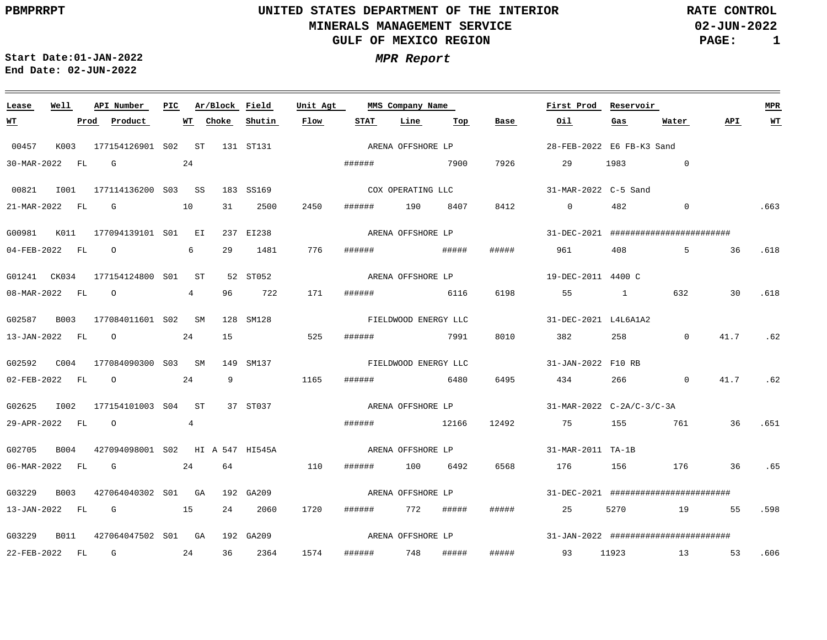**02-JUN-2022 PAGE: 1 RATE CONTROL**

 $\equiv$ 

**Start Date:01-JAN-2022 MPR Report End Date: 02-JUN-2022**

<u> 1989 - Johann Stein, marwolaethau a bhann an t-Albann an t-Albann an t-Albann an t-Albann an t-Albann an t-Al</u>

| Lease          | Well        | API Number                       | PIC |                 | Ar/Block Field |           | Unit Agt | MMS Company Name  |                      |       |                   | First Prod                                    | Reservoir                             |                                       |      | <b>MPR</b> |  |
|----------------|-------------|----------------------------------|-----|-----------------|----------------|-----------|----------|-------------------|----------------------|-------|-------------------|-----------------------------------------------|---------------------------------------|---------------------------------------|------|------------|--|
| W <sup>T</sup> |             | Product<br>Prod                  |     |                 | WT Choke       | Shutin    | Flow     | STAT              | Line                 | Тор   | Base              | Oil                                           | Gas                                   | Water                                 | API  | $WT$       |  |
| 00457          | K003        | 177154126901 S02 ST              |     |                 |                | 131 ST131 |          | ARENA OFFSHORE LP |                      |       |                   | 28-FEB-2022 E6 FB-K3 Sand                     |                                       |                                       |      |            |  |
| 30-MAR-2022 FL |             | G                                |     | 24              |                |           |          |                   | ####### 7900         |       | 7926              | 29                                            | 1983                                  | $\overline{0}$                        |      |            |  |
| 00821          | I001        | 177114136200 S03 SS              |     |                 |                | 183 SS169 |          |                   | COX OPERATING LLC    |       |                   | 31-MAR-2022 C-5 Sand                          |                                       |                                       |      |            |  |
| 21-MAR-2022    | FL          | G                                |     | 10              | 31             | 2500      | 2450     | ######            | 190                  | 8407  | 8412              | $\overline{0}$                                | 482                                   | $\sim$ 0                              |      | .663       |  |
| G00981         | K011        | 177094139101 S01 EI              |     |                 |                | 237 EI238 |          |                   | ARENA OFFSHORE LP    |       |                   |                                               |                                       | 31-DEC-2021 ######################### |      |            |  |
| 04-FEB-2022 FL |             | $\overline{O}$                   |     | 6               | 29             | 1481      | 776      |                   |                      |       | #####             | 961                                           | 408                                   |                                       | 5 36 | .618       |  |
| G01241 CK034   |             | 177154124800 S01 ST              |     |                 |                | 52 ST052  |          |                   | ARENA OFFSHORE LP    |       |                   | 19-DEC-2011 4400 C                            |                                       |                                       |      |            |  |
| 08-MAR-2022 FL |             | $\circ$                          |     | $4\overline{ }$ | 96             | 722       | 171      | ######            | 6116                 |       | 6198              | 55                                            | $\mathbf{1}$                          | 632                                   | 30   | .618       |  |
| G02587         | B003        | 177084011601 S02 SM              |     |                 |                | 128 SM128 |          |                   | FIELDWOOD ENERGY LLC |       |                   | 31-DEC-2021 L4L6A1A2                          |                                       |                                       |      |            |  |
| 13-JAN-2022 FL |             | $\overline{O}$                   |     | 24              | 15             |           | 525      | ######            | 7991                 |       | 8010              | 382                                           | 258                                   | $\mathbf 0$                           | 41.7 | .62        |  |
| G02592         | C004        | 177084090300 S03 SM              |     |                 |                | 149 SM137 |          |                   | FIELDWOOD ENERGY LLC |       |                   | 31-JAN-2022 F10 RB                            |                                       |                                       |      |            |  |
| 02-FEB-2022 FL |             | $\circ$                          |     | 24              | 9              |           | 1165     | ######            | 6480                 |       | 6495              | 434                                           | 266                                   | $\overline{0}$                        | 41.7 | .62        |  |
| G02625         | I002        | 177154101003 S04 ST              |     |                 |                | 37 ST037  |          | ARENA OFFSHORE LP |                      |       |                   | $31-MAR-2022$ $C-2A/C-3/C-3A$                 |                                       |                                       |      |            |  |
| 29-APR-2022 FL |             | $\circ$                          |     | 4               |                |           |          | ######            | 12166                |       | 12492             | 75                                            | 155                                   | 761                                   | 36   | .651       |  |
| G02705         | B004        | 427094098001 S02 HI A 547 HI545A |     |                 |                |           |          | ARENA OFFSHORE LP |                      |       | 31-MAR-2011 TA-1B |                                               |                                       |                                       |      |            |  |
| 06-MAR-2022 FL |             | G                                |     | 24              | 64             |           | 110      | ######            | 100                  | 6492  | 6568              | 176                                           | 156                                   | 176                                   | 36   | .65        |  |
| G03229         | <b>B003</b> | 427064040302 S01 GA              |     |                 |                | 192 GA209 |          | ARENA OFFSHORE LP |                      |       |                   |                                               | 31-DEC-2021 ######################### |                                       |      |            |  |
| 13-JAN-2022 FL |             | G                                | 15  |                 | 24             | 2060      | 1720     |                   | ###### 772 #####     |       | #####             | 25                                            | 5270                                  | 19 55                                 |      | .598       |  |
| G03229         | <b>B011</b> | 427064047502 S01 GA              |     |                 |                | 192 GA209 |          | ARENA OFFSHORE LP |                      |       |                   | $31 - JAN - 2022$ ########################### |                                       |                                       |      |            |  |
| 22-FEB-2022    | FL          | G                                | 24  |                 | 36             | 2364      | 1574     | ###### 748        |                      | ##### | #####             | 93                                            | 11923                                 | 13 53                                 |      | .606       |  |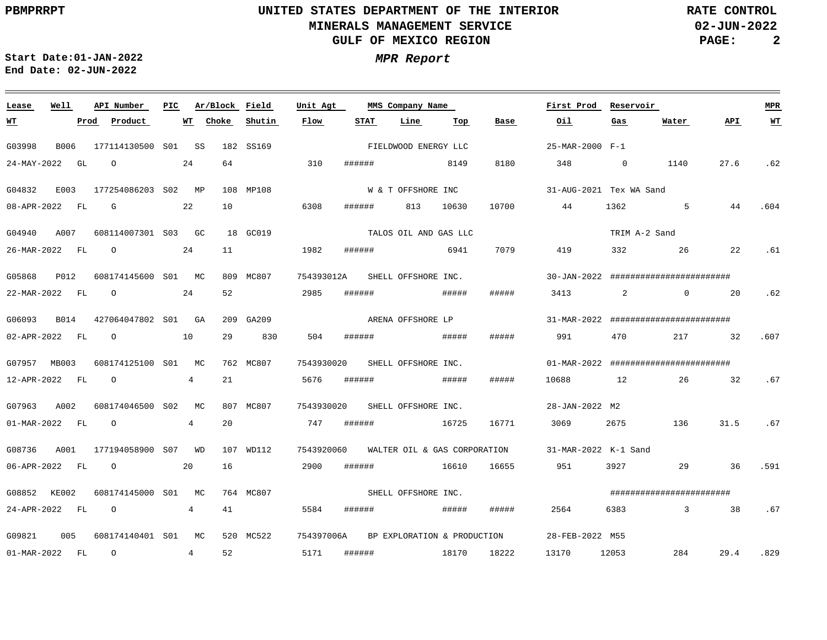**02-JUN-2022 PAGE: 2 RATE CONTROL**

 $\equiv$ 

**Start Date:01-JAN-2022 MPR Report End Date: 02-JUN-2022**

<u> 1989 - Johann Stein, marwolaethau a bhannaich an t-Albann an t-Albann an t-Albann an t-Albann an t-Albann an</u>

| Lease                    | Well        | API Number          | PIC | Ar/Block Field        |           | Unit Agt<br>MMS Company Name |             |                              |       |       | First Prod      | Reservoir               | <b>MPR</b>                                    |      |      |
|--------------------------|-------------|---------------------|-----|-----------------------|-----------|------------------------------|-------------|------------------------------|-------|-------|-----------------|-------------------------|-----------------------------------------------|------|------|
| <u>WT</u>                | Prod        | Product             |     | WT<br>Choke           | Shutin    | Flow                         | <b>STAT</b> | Line                         | Тор   | Base  | Oil             | Gas                     | Water                                         | API  | $WT$ |
| G03998                   | B006        | 177114130500 S01 SS |     |                       | 182 SS169 |                              |             | FIELDWOOD ENERGY LLC         |       |       | 25-MAR-2000 F-1 |                         |                                               |      |      |
| 24-MAY-2022              | GL          | $\circ$             | 24  | 64                    |           | 310                          | ######      |                              | 8149  | 8180  | 348             | $\overline{0}$          | 1140                                          | 27.6 | .62  |
| G04832                   | E003        | 177254086203 S02    |     | MP                    | 108 MP108 |                              |             | W & T OFFSHORE INC           |       |       |                 | 31-AUG-2021 Tex WA Sand |                                               |      |      |
| 08-APR-2022              | FL          | G                   | 22  | 10                    |           | 6308                         | ######      | 813                          | 10630 | 10700 | 44              | 1362                    | $5^{\circ}$                                   | 44   | .604 |
| G04940                   | A007        | 608114007301 S03 GC |     |                       | 18 GC019  |                              |             | TALOS OIL AND GAS LLC        |       |       |                 | TRIM A-2 Sand           |                                               |      |      |
| 26-MAR-2022              | FL          | $\circ$             | 24  | 11                    |           | 1982                         | ######      |                              | 6941  | 7079  | 419             | 332                     | 26                                            | 22   | .61  |
| G05868                   | P012        | 608174145600 S01 MC |     |                       | 809 MC807 | 754393012A                   |             | SHELL OFFSHORE INC.          |       |       |                 |                         | $30 - JAN - 2022$ ########################### |      |      |
| 22-MAR-2022              | FL          | $\circ$             | 24  | 52                    |           | 2985                         | ######      |                              | ##### | ##### | 3413            | 2                       | $\overline{0}$                                | 20   | .62  |
| G06093                   | <b>B014</b> | 427064047802 S01 GA |     |                       | 209 GA209 |                              |             | ARENA OFFSHORE LP            |       |       |                 |                         | $31-MAR-2022$ ###########################     |      |      |
| 02-APR-2022 FL           |             | $\circ$             | 10  | 29                    | 830       | 504                          | ######      |                              | ##### | ##### | 991             | 470                     | 217                                           | 32   | .607 |
| G07957 MB003             |             | 608174125100 S01    |     | MC                    | 762 MC807 | 7543930020                   |             | SHELL OFFSHORE INC.          |       |       |                 |                         | $01-MAR-2022$ ###########################     |      |      |
| 12-APR-2022              | FL          | $\circ$             |     | 21<br>4               |           | 5676                         | ######      |                              | ##### | ##### | 10688           | 12                      | 26                                            | 32   | .67  |
| G07963                   | A002        | 608174046500 S02    |     | MC                    | 807 MC807 | 7543930020                   |             | SHELL OFFSHORE INC.          |       |       | 28-JAN-2022 M2  |                         |                                               |      |      |
| $01 - \text{MAR} - 2022$ | FL          | $\circ$             |     | 20<br>4               |           | 747                          | ######      |                              | 16725 | 16771 | 3069            | 2675                    | 136                                           | 31.5 | .67  |
| G08736                   | A001        | 177194058900 S07    |     | <b>WD</b>             | 107 WD112 | 7543920060                   |             | WALTER OIL & GAS CORPORATION |       |       |                 | 31-MAR-2022 K-1 Sand    |                                               |      |      |
| 06-APR-2022              | FL          | $\circ$             | 20  | 16                    |           | 2900                         | ######      |                              | 16610 | 16655 | 951             | 3927                    | 29                                            | 36   | .591 |
| G08852 KE002             |             | 608174145000 S01 MC |     |                       | 764 MC807 |                              |             | SHELL OFFSHORE INC.          |       |       |                 |                         | ########################                      |      |      |
| 24-APR-2022 FL           |             | $\circ$             |     | 4<br>41               |           | 5584                         | ######      |                              | ##### | ##### | 2564            | 6383                    | $\overline{3}$                                | 38   | .67  |
| G09821                   | 005         | 608174140401 S01    |     | MC                    | 520 MC522 | 754397006A                   |             | BP EXPLORATION & PRODUCTION  |       |       | 28-FEB-2022 M55 |                         |                                               |      |      |
| 01-MAR-2022 FL           |             | $\circ$             |     | 52<br>$4\overline{ }$ |           | 5171                         | ######      |                              | 18170 | 18222 | 13170           | 12053                   | 284                                           | 29.4 | .829 |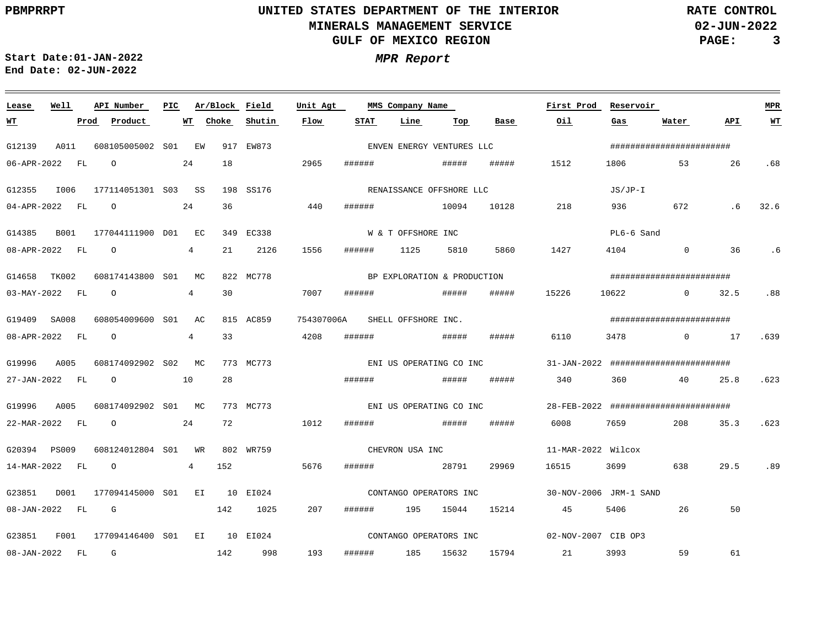**02-JUN-2022 PAGE: 3 RATE CONTROL**

**Start Date:01-JAN-2022 MPR Report End Date: 02-JUN-2022**

### <u> 1989 - Johann Stoff, deutscher Stoff, der Stoff, der Stoff, der Stoff, der Stoff, der Stoff, der Stoff, der S</u> **Lease Well API Number Ar/Block Field Unit Agt PIC MMS Company Name First Prod Reservoir MPR Shutin Flow STAT Line Top Water API WT Prod Product WT Choke Base Oil Gas WT** ENVEN ENERGY VENTURES LLC ######################## G12139 A011 608105005002 S01 EW 917 EW873 06-APR-2022 FL O 24 18 2965 ###### ##### ##### 1512 1806 53 26 .68 RENAISSANCE OFFSHORE LLC JS/JP-I G12355 I006 177114051301 S03 SS 198 SS176 36 440 ###### 04-APR-2022 FL O 24 10094 10128 218 936 672 .6 32.6 W & T OFFSHORE INC PL6-6 Sand G14385 B001 177044111900 D01 EC 349 EC338 4 .6 08-APR-2022 FL O 21 2126 1556 ###### 1125 5810 5860 1427 4104 0 36 BP EXPLORATION & PRODUCTION ######################## G14658 TK002 608174143800 S01 MC 822 MC778 30 7007 03-MAY-2022 FL O 4 ###### ##### ##### 15226 10622 0 32.5 .88 ######################## G19409 SA008 608054009600 AC S01 815 AC859 754307006A SHELL OFFSHORE INC. 4 33 4208 ###### .639 08-APR-2022 FL O ##### ###### 6110 3478 0 17 G19996 A005 608174092902 S02 MC 773 MC773 31-JAN-2022 ######################## ENI US OPERATING CO INC ##### 28 ###### ##### 340 27-JAN-2022 FL O 10 360 40 25.8 .623 G19996 A005 608174092902 S01 MC 773 MC773 28-FEB-2022 ######################## ENI US OPERATING CO INC 22-MAR-2022 FL O 24 72 1012 ###### ##### ##### 6008 7659 208 35.3 .623 CHEVRON USA INC G20394 PS009 608124012804 S01 WR 802 WR759 11-MAR-2022 Wilcox 14-MAR-2022 FL O 4 152 5676 ###### 28791 29969 16515 3699 638 29.5 .89 G23851 D001 177094145000 EI 10 EI024 S01 30-NOV-2006 JRM-1 SAND CONTANGO OPERATORS INC 08-JAN-2022 FL G 142 1025 207 ###### 195 15044 15214 45 5406 26 50 CONTANGO OPERATORS INC G23851 F001 177094146400 S01 EI 10 EI024 02-NOV-2007 CIB OP3 193 59 61 08-JAN-2022 FL G 142 998 ###### 185 15632 15794 21 3993